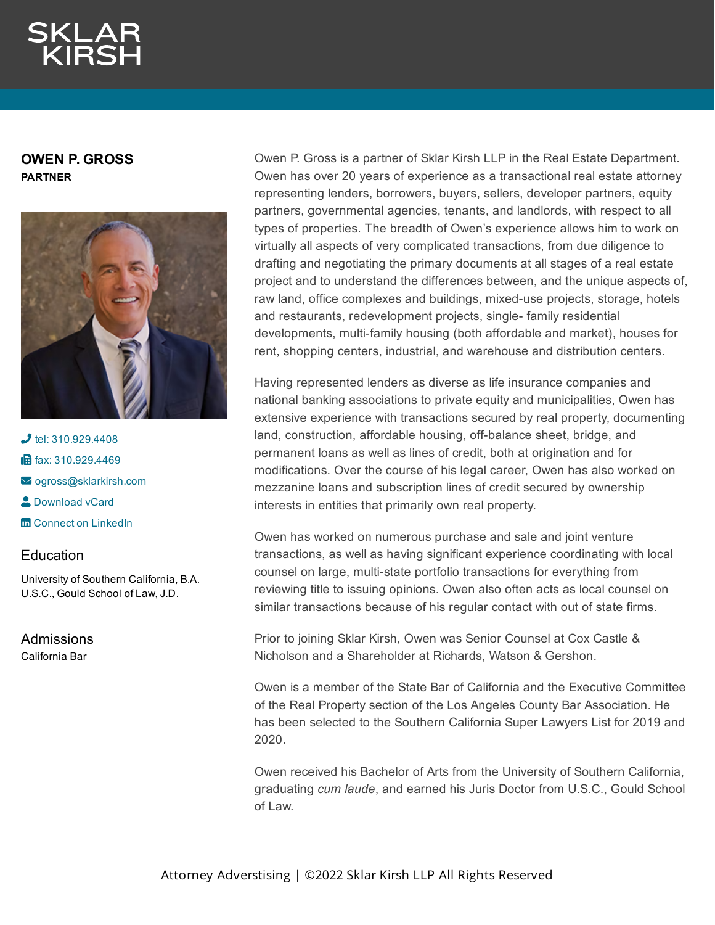**OWEN P. GROSS PARTNER**



 $\bigcup$  tel: [310.929.4408](tel:310.929.4408) **in** fax: [310.929.4469](fax:310.929.4469) [ogross@sklarkirsh.com](mailto:ogross@sklarkirsh.com) **2** [Download](https://www.sklarkirsh.com/api/vcard?firstName=Owen&middleName=P.&lastName=Gross&email=ogross@sklarkirsh.com&position=PARTNER&company=Sklar%20Kirsh%20LLP&phone=310.929.4408&fax=310.929.4469&address1=1880%20Century%20Park%20East,%20Ste%20300&city=Los%20Angeles&state=CA&zip=90067&country=US&image=https%253A%252F%252Fres.cloudinary.com%252Fsklar-kirsh-main%252Fimages%252F%252Ff_auto%252Cq_auto%252Fv1644341157%252FOGross2-2_42449562d%252FOGross2-2_42449562d.jpg%253F_i%253DAA&) vCard **m** Connect on [LinkedIn](https://www.linkedin.com/in/owen-gross-8a8475125/)

## Education

University of Southern California, B.A. U.S.C., Gould School of Law, J.D.

Admissions California Bar

Owen P. Gross is a partner of Sklar Kirsh LLP in the Real Estate Department. Owen has over 20 years of experience as a transactional real estate attorney representing lenders, borrowers, buyers, sellers, developer partners, equity partners, governmental agencies, tenants, and landlords, with respect to all types of properties. The breadth of Owen's experience allows him to work on virtually all aspects of very complicated transactions, from due diligence to drafting and negotiating the primary documents at all stages of a real estate project and to understand the differences between, and the unique aspects of, raw land, office complexes and buildings, mixed-use projects, storage, hotels and restaurants, redevelopment projects, single- family residential developments, multi-family housing (both affordable and market), houses for rent, shopping centers, industrial, and warehouse and distribution centers.

Having represented lenders as diverse as life insurance companies and national banking associations to private equity and municipalities, Owen has extensive experience with transactions secured by real property, documenting land, construction, affordable housing, off-balance sheet, bridge, and permanent loans as well as lines of credit, both at origination and for modifications. Over the course of his legal career, Owen has also worked on mezzanine loans and subscription lines of credit secured by ownership interests in entities that primarily own real property.

Owen has worked on numerous purchase and sale and joint venture transactions, as well as having significant experience coordinating with local counsel on large, multi-state portfolio transactions for everything from reviewing title to issuing opinions. Owen also often acts as local counsel on similar transactions because of his regular contact with out of state firms.

Prior to joining Sklar Kirsh, Owen was Senior Counsel at Cox Castle & Nicholson and a Shareholder at Richards, Watson & Gershon.

Owen is a member of the State Bar of California and the Executive Committee of the Real Property section of the Los Angeles County Bar Association. He has been selected to the Southern California Super Lawyers List for 2019 and 2020.

Owen received his Bachelor of Arts from the University of Southern California, graduating *cum laude*, and earned his Juris Doctor from U.S.C., Gould School of Law.